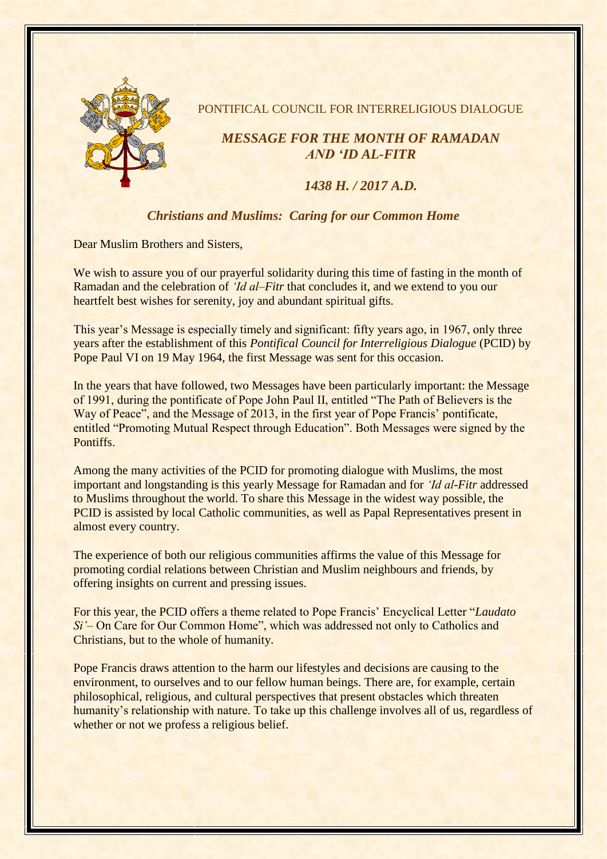

PONTIFICAL COUNCIL FOR INTERRELIGIOUS DIALOGUE

## *MESSAGE FOR THE MONTH OF RAMADAN AND 'ID AL-FITR*

## *1438 H. / 2017 A.D.*

## *Christians and Muslims: Caring for our Common Home*

Dear Muslim Brothers and Sisters,

We wish to assure you of our prayerful solidarity during this time of fasting in the month of Ramadan and the celebration of *'Id al–Fitr* that concludes it, and we extend to you our heartfelt best wishes for serenity, joy and abundant spiritual gifts.

This year's Message is especially timely and significant: fifty years ago, in 1967, only three years after the establishment of this *Pontifical Council for Interreligious Dialogue* (PCID) by Pope Paul VI on 19 May 1964, the first Message was sent for this occasion.

In the years that have followed, two Messages have been particularly important: the Message of 1991, during the pontificate of Pope John Paul II, entitled "The Path of Believers is the Way of Peace", and the Message of 2013, in the first year of Pope Francis' pontificate, entitled "Promoting Mutual Respect through Education". Both Messages were signed by the Pontiffs.

Among the many activities of the PCID for promoting dialogue with Muslims, the most important and longstanding is this yearly Message for Ramadan and for *'Id al-Fitr* addressed to Muslims throughout the world. To share this Message in the widest way possible, the PCID is assisted by local Catholic communities, as well as Papal Representatives present in almost every country.

The experience of both our religious communities affirms the value of this Message for promoting cordial relations between Christian and Muslim neighbours and friends, by offering insights on current and pressing issues.

For this year, the PCID offers a theme related to Pope Francis' Encyclical Letter "*Laudato Si'*– On Care for Our Common Home", which was addressed not only to Catholics and Christians, but to the whole of humanity.

Pope Francis draws attention to the harm our lifestyles and decisions are causing to the environment, to ourselves and to our fellow human beings. There are, for example, certain philosophical, religious, and cultural perspectives that present obstacles which threaten humanity's relationship with nature. To take up this challenge involves all of us, regardless of whether or not we profess a religious belief.